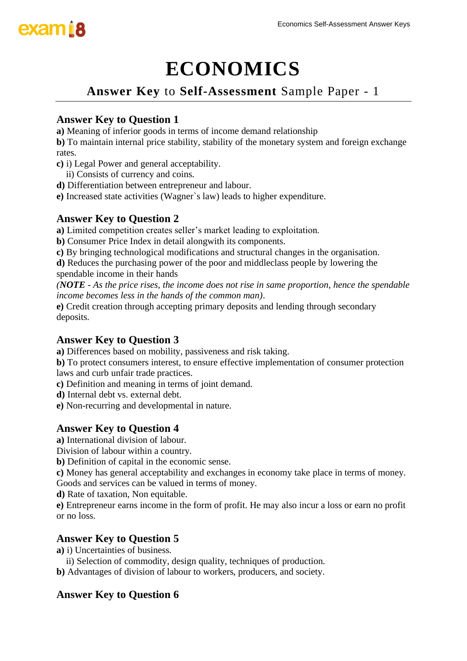**Answer Key** to **Self-Assessment** Sample Paper - 1

#### **Answer Key to Question 1**

**a)** Meaning of inferior goods in terms of income demand relationship

**b**) To maintain internal price stability, stability of the monetary system and foreign exchange rates.

**c)** i) Legal Power and general acceptability.

ii) Consists of currency and coins.

**d)** Differentiation between entrepreneur and labour.

**e)** Increased state activities (Wagner`s law) leads to higher expenditure.

#### **Answer Key to Question 2**

**a)** Limited competition creates seller's market leading to exploitation.

**b)** Consumer Price Index in detail alongwith its components.

**c)** By bringing technological modifications and structural changes in the organisation.

**d)** Reduces the purchasing power of the poor and middleclass people by lowering the spendable income in their hands

*(NOTE - As the price rises, the income does not rise in same proportion, hence the spendable income becomes less in the hands of the common man)*.

**e)** Credit creation through accepting primary deposits and lending through secondary deposits.

## **Answer Key to Question 3**

**a)** Differences based on mobility, passiveness and risk taking.

**b)** To protect consumers interest, to ensure effective implementation of consumer protection laws and curb unfair trade practices.

**c)** Definition and meaning in terms of joint demand.

**d)** Internal debt vs. external debt.

**e)** Non-recurring and developmental in nature.

## **Answer Key to Question 4**

**a)** International division of labour.

Division of labour within a country.

**b)** Definition of capital in the economic sense.

**c)** Money has general acceptability and exchanges in economy take place in terms of money.

Goods and services can be valued in terms of money.

**d)** Rate of taxation, Non equitable.

**e)** Entrepreneur earns income in the form of profit. He may also incur a loss or earn no profit or no loss.

## **Answer Key to Question 5**

**a)** i) Uncertainties of business.

ii) Selection of commodity, design quality, techniques of production.

**b)** Advantages of division of labour to workers, producers, and society.

## **Answer Key to Question 6**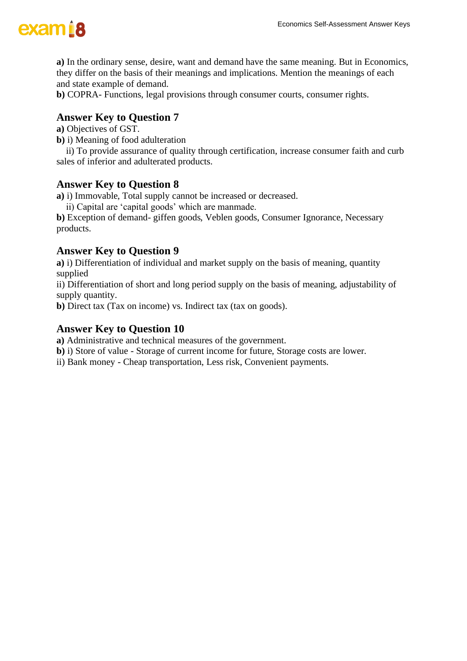## exam is

**a)** In the ordinary sense, desire, want and demand have the same meaning. But in Economics, they differ on the basis of their meanings and implications. Mention the meanings of each and state example of demand.

**b)** COPRA- Functions, legal provisions through consumer courts, consumer rights.

#### **Answer Key to Question 7**

- **a)** Objectives of GST.
- **b)** i) Meaning of food adulteration

 ii) To provide assurance of quality through certification, increase consumer faith and curb sales of inferior and adulterated products.

#### **Answer Key to Question 8**

**a)** i) Immovable, Total supply cannot be increased or decreased.

ii) Capital are 'capital goods' which are manmade.

**b)** Exception of demand- giffen goods, Veblen goods, Consumer Ignorance, Necessary products.

#### **Answer Key to Question 9**

**a)** i) Differentiation of individual and market supply on the basis of meaning, quantity supplied

ii) Differentiation of short and long period supply on the basis of meaning, adjustability of supply quantity.

**b)** Direct tax (Tax on income) vs. Indirect tax (tax on goods).

#### **Answer Key to Question 10**

**a)** Administrative and technical measures of the government.

**b)** i) Store of value - Storage of current income for future, Storage costs are lower.

ii) Bank money - Cheap transportation, Less risk, Convenient payments.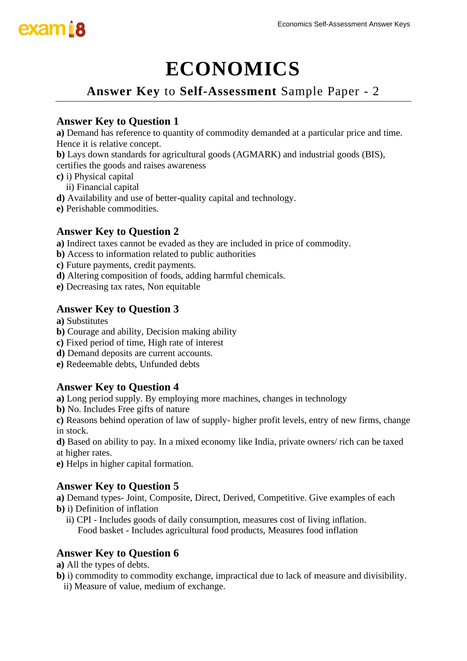## **Answer Key** to **Self-Assessment** Sample Paper - 2

#### **Answer Key to Question 1**

**a)** Demand has reference to quantity of commodity demanded at a particular price and time. Hence it is relative concept.

- **b)** Lays down standards for agricultural goods (AGMARK) and industrial goods (BIS),
- certifies the goods and raises awareness
- **c)** i) Physical capital
	- ii) Financial capital
- **d)** Availability and use of better-quality capital and technology.
- **e)** Perishable commodities.

#### **Answer Key to Question 2**

- **a)** Indirect taxes cannot be evaded as they are included in price of commodity.
- **b)** Access to information related to public authorities
- **c)** Future payments, credit payments.
- **d)** Altering composition of foods, adding harmful chemicals.
- **e)** Decreasing tax rates, Non equitable

#### **Answer Key to Question 3**

- **a)** Substitutes
- **b)** Courage and ability, Decision making ability
- **c)** Fixed period of time, High rate of interest
- **d)** Demand deposits are current accounts.
- **e)** Redeemable debts, Unfunded debts

#### **Answer Key to Question 4**

**a)** Long period supply. By employing more machines, changes in technology

**b)** No. Includes Free gifts of nature

**c)** Reasons behind operation of law of supply- higher profit levels, entry of new firms, change in stock.

**d)** Based on ability to pay. In a mixed economy like India, private owners/ rich can be taxed at higher rates.

**e)** Helps in higher capital formation.

## **Answer Key to Question 5**

**a)** Demand types- Joint, Composite, Direct, Derived, Competitive. Give examples of each **b)** i) Definition of inflation

 ii) CPI - Includes goods of daily consumption, measures cost of living inflation. Food basket - Includes agricultural food products, Measures food inflation

#### **Answer Key to Question 6**

**a)** All the types of debts.

- **b)** i) commodity to commodity exchange, impractical due to lack of measure and divisibility.
- ii) Measure of value, medium of exchange.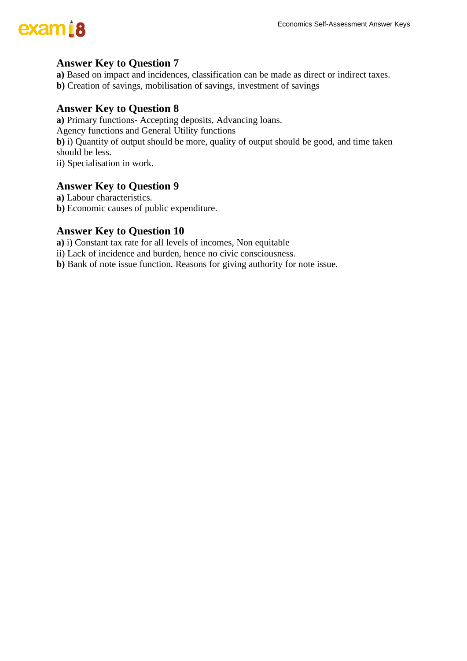

#### **Answer Key to Question 7**

- **a)** Based on impact and incidences, classification can be made as direct or indirect taxes.
- **b)** Creation of savings, mobilisation of savings, investment of savings

#### **Answer Key to Question 8**

**a)** Primary functions- Accepting deposits, Advancing loans. Agency functions and General Utility functions **b)** i) Quantity of output should be more, quality of output should be good, and time taken should be less. ii) Specialisation in work.

## **Answer Key to Question 9**

- **a)** Labour characteristics.
- **b)** Economic causes of public expenditure.

#### **Answer Key to Question 10**

- **a)** i) Constant tax rate for all levels of incomes, Non equitable
- ii) Lack of incidence and burden, hence no civic consciousness.
- **b)** Bank of note issue function. Reasons for giving authority for note issue.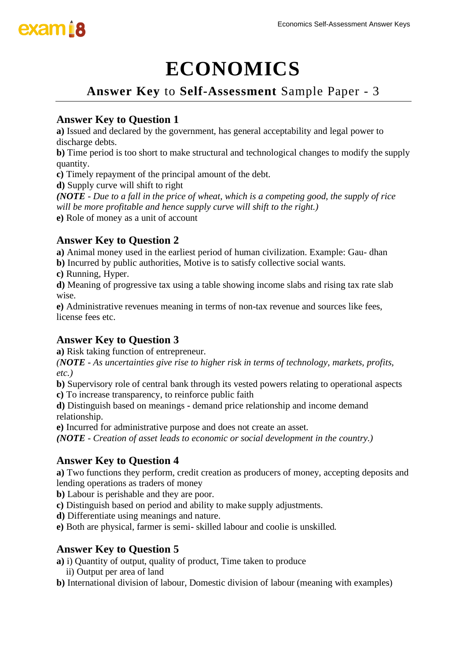## **Answer Key** to **Self-Assessment** Sample Paper - 3

#### **Answer Key to Question 1**

**a)** Issued and declared by the government, has general acceptability and legal power to discharge debts.

**b**) Time period is too short to make structural and technological changes to modify the supply quantity.

**c)** Timely repayment of the principal amount of the debt.

**d)** Supply curve will shift to right

*(NOTE - Due to a fall in the price of wheat, which is a competing good, the supply of rice will be more profitable and hence supply curve will shift to the right.)* **e)** Role of money as a unit of account

## **Answer Key to Question 2**

**a)** Animal money used in the earliest period of human civilization. Example: Gau- dhan **b)** Incurred by public authorities, Motive is to satisfy collective social wants.

**c)** Running, Hyper.

**d)** Meaning of progressive tax using a table showing income slabs and rising tax rate slab wise.

**e)** Administrative revenues meaning in terms of non-tax revenue and sources like fees, license fees etc.

## **Answer Key to Question 3**

**a)** Risk taking function of entrepreneur.

*(NOTE - As uncertainties give rise to higher risk in terms of technology, markets, profits, etc.)* 

**b)** Supervisory role of central bank through its vested powers relating to operational aspects **c)** To increase transparency, to reinforce public faith

**d)** Distinguish based on meanings - demand price relationship and income demand relationship.

**e)** Incurred for administrative purpose and does not create an asset.

*(NOTE - Creation of asset leads to economic or social development in the country.)*

## **Answer Key to Question 4**

**a)** Two functions they perform, credit creation as producers of money, accepting deposits and lending operations as traders of money

**b)** Labour is perishable and they are poor.

**c)** Distinguish based on period and ability to make supply adjustments.

**d)** Differentiate using meanings and nature.

**e)** Both are physical, farmer is semi- skilled labour and coolie is unskilled.

#### **Answer Key to Question 5**

**a)** i) Quantity of output, quality of product, Time taken to produce

ii) Output per area of land

**b)** International division of labour, Domestic division of labour (meaning with examples)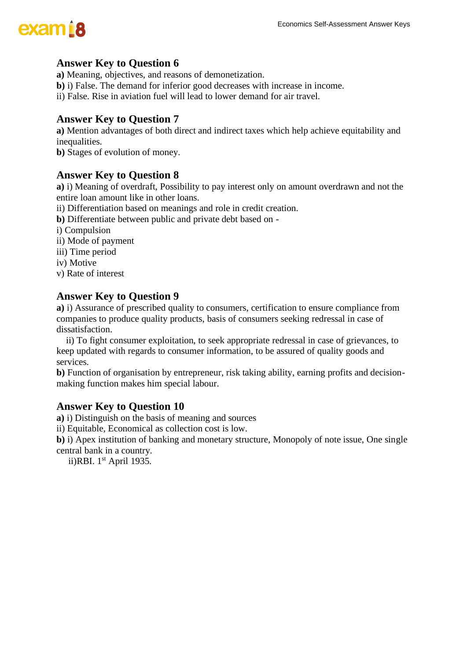

#### **Answer Key to Question 6**

**a)** Meaning, objectives, and reasons of demonetization.

- **b)** i) False. The demand for inferior good decreases with increase in income.
- ii) False. Rise in aviation fuel will lead to lower demand for air travel.

#### **Answer Key to Question 7**

**a)** Mention advantages of both direct and indirect taxes which help achieve equitability and inequalities.

**b)** Stages of evolution of money.

#### **Answer Key to Question 8**

**a)** i) Meaning of overdraft, Possibility to pay interest only on amount overdrawn and not the entire loan amount like in other loans.

ii) Differentiation based on meanings and role in credit creation.

**b)** Differentiate between public and private debt based on -

- i) Compulsion
- ii) Mode of payment
- iii) Time period
- iv) Motive
- v) Rate of interest

#### **Answer Key to Question 9**

**a)** i) Assurance of prescribed quality to consumers, certification to ensure compliance from companies to produce quality products, basis of consumers seeking redressal in case of dissatisfaction.

 ii) To fight consumer exploitation, to seek appropriate redressal in case of grievances, to keep updated with regards to consumer information, to be assured of quality goods and services.

**b)** Function of organisation by entrepreneur, risk taking ability, earning profits and decisionmaking function makes him special labour.

#### **Answer Key to Question 10**

**a)** i) Distinguish on the basis of meaning and sources

ii) Equitable, Economical as collection cost is low.

**b)** i) Apex institution of banking and monetary structure, Monopoly of note issue, One single central bank in a country.

ii)RBI. 1<sup>st</sup> April 1935.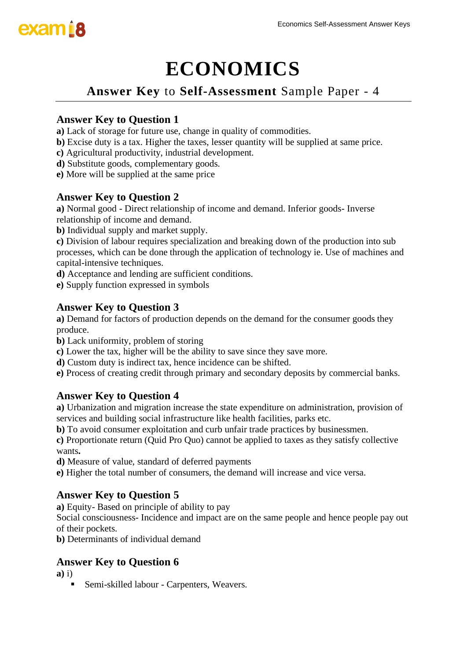## **Answer Key** to **Self-Assessment** Sample Paper - 4

#### **Answer Key to Question 1**

**a)** Lack of storage for future use, change in quality of commodities.

- **b)** Excise duty is a tax. Higher the taxes, lesser quantity will be supplied at same price.
- **c)** Agricultural productivity, industrial development.
- **d)** Substitute goods, complementary goods.
- **e)** More will be supplied at the same price

#### **Answer Key to Question 2**

**a)** Normal good - Direct relationship of income and demand. Inferior goods- Inverse relationship of income and demand.

**b)** Individual supply and market supply.

**c)** Division of labour requires specialization and breaking down of the production into sub processes, which can be done through the application of technology ie. Use of machines and capital-intensive techniques.

**d)** Acceptance and lending are sufficient conditions.

**e)** Supply function expressed in symbols

#### **Answer Key to Question 3**

**a)** Demand for factors of production depends on the demand for the consumer goods they produce.

**b)** Lack uniformity, problem of storing

**c)** Lower the tax, higher will be the ability to save since they save more.

**d)** Custom duty is indirect tax, hence incidence can be shifted.

**e)** Process of creating credit through primary and secondary deposits by commercial banks.

#### **Answer Key to Question 4**

**a)** Urbanization and migration increase the state expenditure on administration, provision of services and building social infrastructure like health facilities, parks etc.

**b)** To avoid consumer exploitation and curb unfair trade practices by businessmen.

**c)** Proportionate return (Quid Pro Quo) cannot be applied to taxes as they satisfy collective wants**.**

**d)** Measure of value, standard of deferred payments

**e)** Higher the total number of consumers, the demand will increase and vice versa.

#### **Answer Key to Question 5**

**a)** Equity- Based on principle of ability to pay

Social consciousness- Incidence and impact are on the same people and hence people pay out of their pockets.

**b)** Determinants of individual demand

#### **Answer Key to Question 6**

**a)** i)

Semi-skilled labour - Carpenters, Weavers.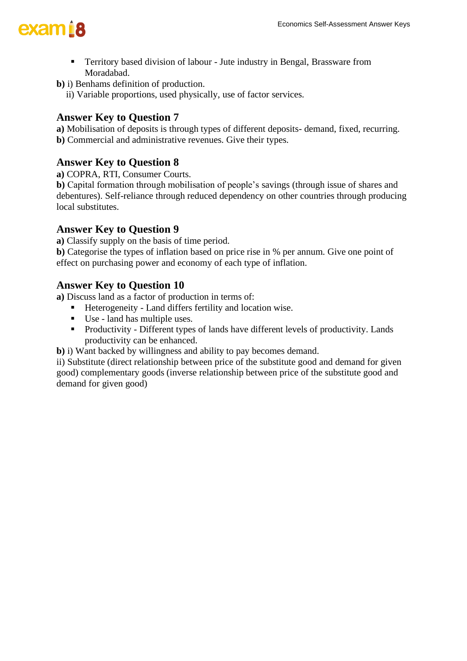## exam is

- **•** Territory based division of labour Jute industry in Bengal, Brassware from Moradabad.
- **b)** i) Benhams definition of production.
	- ii) Variable proportions, used physically, use of factor services.

### **Answer Key to Question 7**

**a)** Mobilisation of deposits is through types of different deposits- demand, fixed, recurring. **b)** Commercial and administrative revenues. Give their types.

#### **Answer Key to Question 8**

**a)** COPRA, RTI, Consumer Courts.

**b)** Capital formation through mobilisation of people's savings (through issue of shares and debentures). Self-reliance through reduced dependency on other countries through producing local substitutes.

#### **Answer Key to Question 9**

**a)** Classify supply on the basis of time period.

**b)** Categorise the types of inflation based on price rise in % per annum. Give one point of effect on purchasing power and economy of each type of inflation.

#### **Answer Key to Question 10**

**a)** Discuss land as a factor of production in terms of:

- Heterogeneity Land differs fertility and location wise.
- Use land has multiple uses.
- Productivity Different types of lands have different levels of productivity. Lands productivity can be enhanced.
- **b)** i) Want backed by willingness and ability to pay becomes demand.

ii) Substitute (direct relationship between price of the substitute good and demand for given good) complementary goods (inverse relationship between price of the substitute good and demand for given good)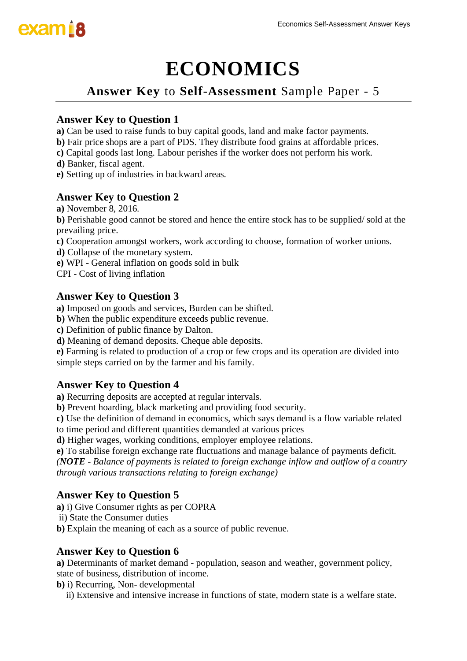## **Answer Key** to **Self-Assessment** Sample Paper - 5

#### **Answer Key to Question 1**

- **a)** Can be used to raise funds to buy capital goods, land and make factor payments.
- **b)** Fair price shops are a part of PDS. They distribute food grains at affordable prices.
- **c)** Capital goods last long. Labour perishes if the worker does not perform his work.
- **d)** Banker, fiscal agent.
- **e)** Setting up of industries in backward areas.

## **Answer Key to Question 2**

**a)** November 8, 2016.

**b)** Perishable good cannot be stored and hence the entire stock has to be supplied/ sold at the prevailing price.

**c)** Cooperation amongst workers, work according to choose, formation of worker unions.

**d)** Collapse of the monetary system.

**e)** WPI - General inflation on goods sold in bulk

CPI - Cost of living inflation

#### **Answer Key to Question 3**

**a)** Imposed on goods and services, Burden can be shifted.

- **b)** When the public expenditure exceeds public revenue.
- **c)** Definition of public finance by Dalton.
- **d)** Meaning of demand deposits. Cheque able deposits.

**e)** Farming is related to production of a crop or few crops and its operation are divided into simple steps carried on by the farmer and his family.

#### **Answer Key to Question 4**

**a)** Recurring deposits are accepted at regular intervals.

- **b)** Prevent hoarding, black marketing and providing food security.
- **c)** Use the definition of demand in economics, which says demand is a flow variable related to time period and different quantities demanded at various prices

**d)** Higher wages, working conditions, employer employee relations.

**e)** To stabilise foreign exchange rate fluctuations and manage balance of payments deficit.

*(NOTE - Balance of payments is related to foreign exchange inflow and outflow of a country through various transactions relating to foreign exchange)*

#### **Answer Key to Question 5**

- **a)** i) Give Consumer rights as per COPRA
- ii) State the Consumer duties
- **b)** Explain the meaning of each as a source of public revenue.

#### **Answer Key to Question 6**

**a)** Determinants of market demand - population, season and weather, government policy, state of business, distribution of income.

**b)** i) Recurring, Non- developmental

ii) Extensive and intensive increase in functions of state, modern state is a welfare state.